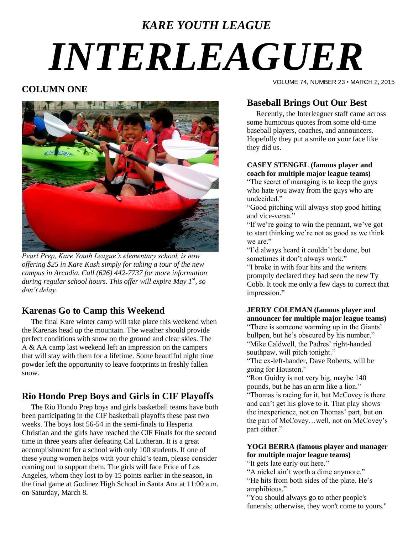# *KARE YOUTH LEAGUE INTERLEAGUER*

### **COLUMN ONE**



*Pearl Prep, Kare Youth League's elementary school, is now offering \$25 in Kare Kash simply for taking a tour of the new campus in Arcadia. Call (626) 442-7737 for more information during regular school hours. This offer will expire May 1st , so don't delay.*

# **Karenas Go to Camp this Weekend**

 The final Kare winter camp will take place this weekend when the Karenas head up the mountain. The weather should provide perfect conditions with snow on the ground and clear skies. The A & AA camp last weekend left an impression on the campers that will stay with them for a lifetime. Some beautiful night time powder left the opportunity to leave footprints in freshly fallen snow.

# **Rio Hondo Prep Boys and Girls in CIF Playoffs**

 The Rio Hondo Prep boys and girls basketball teams have both been participating in the CIF basketball playoffs these past two weeks. The boys lost 56-54 in the semi-finals to Hesperia Christian and the girls have reached the CIF Finals for the second time in three years after defeating Cal Lutheran. It is a great accomplishment for a school with only 100 students. If one of these young women helps with your child"s team, please consider coming out to support them. The girls will face Price of Los Angeles, whom they lost to by 15 points earlier in the season, in the final game at Godinez High School in Santa Ana at 11:00 a.m. on Saturday, March 8.

VOLUME 74, NUMBER 23 • MARCH 2, 2015

# **Baseball Brings Out Our Best**

 Recently, the Interleaguer staff came across some humorous quotes from some old-time baseball players, coaches, and announcers. Hopefully they put a smile on your face like they did us.

#### **CASEY STENGEL (famous player and coach for multiple major league teams)**

"The secret of managing is to keep the guys who hate you away from the guys who are undecided."

"Good pitching will always stop good hitting and vice-versa."

"If we"re going to win the pennant, we"ve got to start thinking we"re not as good as we think we are."

"I"d always heard it couldn"t be done, but sometimes it don"t always work."

"I broke in with four hits and the writers promptly declared they had seen the new Ty Cobb. It took me only a few days to correct that impression."

#### **JERRY COLEMAN (famous player and announcer for multiple major league teams)**

"There is someone warming up in the Giants" bullpen, but he's obscured by his number." "Mike Caldwell, the Padres' right-handed southpaw, will pitch tonight."

"The ex-left-hander, Dave Roberts, will be going for Houston."

"Ron Guidry is not very big, maybe 140 pounds, but he has an arm like a lion." "Thomas is racing for it, but McCovey is there and can"t get his glove to it. That play shows the inexperience, not on Thomas" part, but on

the part of McCovey…well, not on McCovey"s part either."

#### **YOGI BERRA (famous player and manager for multiple major league teams)**

"It gets late early out here."

"A nickel ain"t worth a dime anymore." "He hits from both sides of the plate. He"s

amphibious."

"You should always go to other people's funerals; otherwise, they won't come to yours."